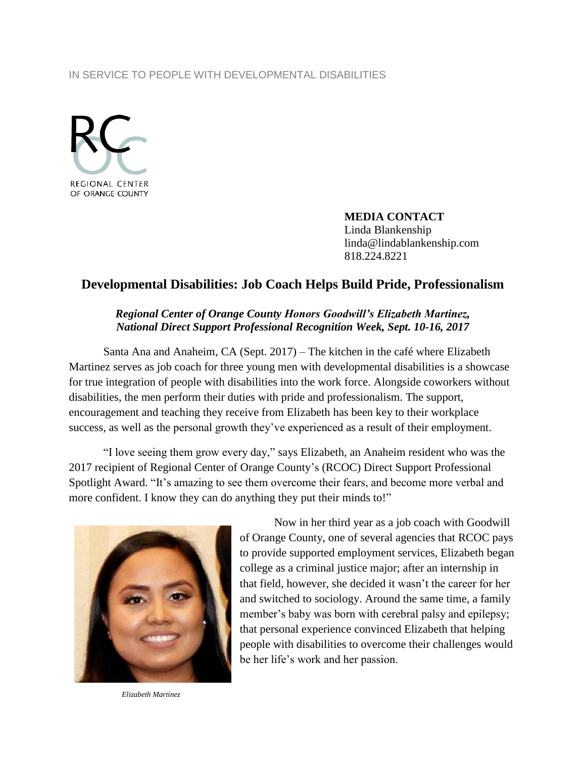#### IN SERVICE TO PEOPLE WITH DEVELOPMENTAL DISABILITIES



**MEDIA CONTACT** Linda Blankenship linda@lindablankenship.com 818.224.8221

# **Developmental Disabilities: Job Coach Helps Build Pride, Professionalism**

#### *Regional Center of Orange County Honors Goodwill's Elizabeth Martinez, National Direct Support Professional Recognition Week, Sept. 10-16, 2017*

Santa Ana and Anaheim, CA (Sept. 2017) – The kitchen in the café where Elizabeth Martinez serves as job coach for three young men with developmental disabilities is a showcase for true integration of people with disabilities into the work force. Alongside coworkers without disabilities, the men perform their duties with pride and professionalism. The support, encouragement and teaching they receive from Elizabeth has been key to their workplace success, as well as the personal growth they've experienced as a result of their employment.

"I love seeing them grow every day," says Elizabeth, an Anaheim resident who was the 2017 recipient of Regional Center of Orange County's (RCOC) Direct Support Professional Spotlight Award. "It's amazing to see them overcome their fears, and become more verbal and more confident. I know they can do anything they put their minds to!"



Now in her third year as a job coach with Goodwill of Orange County, one of several agencies that RCOC pays to provide supported employment services, Elizabeth began college as a criminal justice major; after an internship in that field, however, she decided it wasn't the career for her and switched to sociology. Around the same time, a family member's baby was born with cerebral palsy and epilepsy; that personal experience convinced Elizabeth that helping people with disabilities to overcome their challenges would be her life's work and her passion.

*Elizabeth Martinez*